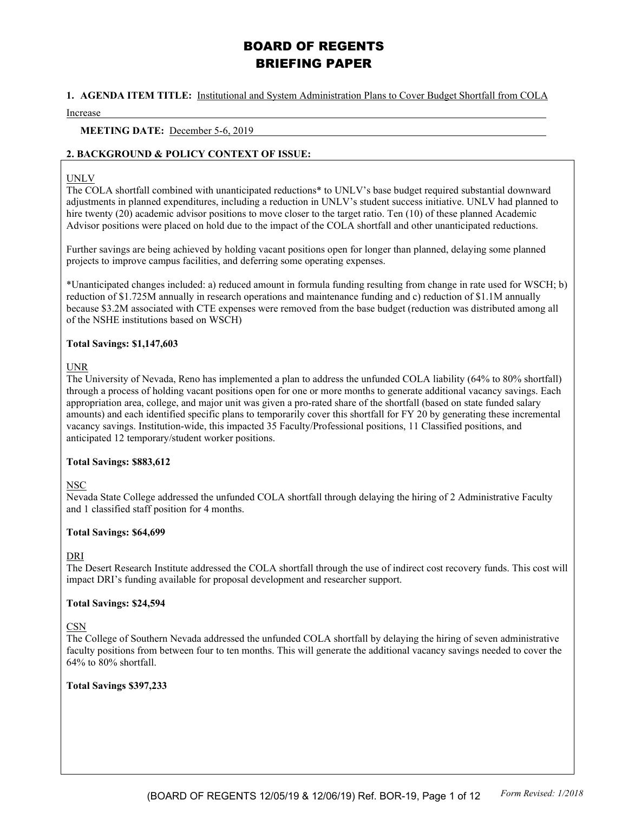# BOARD OF REGENTS BRIEFING PAPER

### **1. AGENDA ITEM TITLE:** Institutional and System Administration Plans to Cover Budget Shortfall from COLA

Increase

#### **MEETING DATE:** December 5-6, 2019

### **2. BACKGROUND & POLICY CONTEXT OF ISSUE:**

#### UNLV

The COLA shortfall combined with unanticipated reductions\* to UNLV's base budget required substantial downward adjustments in planned expenditures, including a reduction in UNLV's student success initiative. UNLV had planned to hire twenty (20) academic advisor positions to move closer to the target ratio. Ten (10) of these planned Academic Advisor positions were placed on hold due to the impact of the COLA shortfall and other unanticipated reductions.

Further savings are being achieved by holding vacant positions open for longer than planned, delaying some planned projects to improve campus facilities, and deferring some operating expenses.

\*Unanticipated changes included: a) reduced amount in formula funding resulting from change in rate used for WSCH; b) reduction of \$1.725M annually in research operations and maintenance funding and c) reduction of \$1.1M annually because \$3.2M associated with CTE expenses were removed from the base budget (reduction was distributed among all of the NSHE institutions based on WSCH)

### **Total Savings: \$1,147,603**

### **UNR**

The University of Nevada, Reno has implemented a plan to address the unfunded COLA liability (64% to 80% shortfall) through a process of holding vacant positions open for one or more months to generate additional vacancy savings. Each appropriation area, college, and major unit was given a pro-rated share of the shortfall (based on state funded salary amounts) and each identified specific plans to temporarily cover this shortfall for FY 20 by generating these incremental vacancy savings. Institution-wide, this impacted 35 Faculty/Professional positions, 11 Classified positions, and anticipated 12 temporary/student worker positions.

### **Total Savings: \$883,612**

### NSC

Nevada State College addressed the unfunded COLA shortfall through delaying the hiring of 2 Administrative Faculty and 1 classified staff position for 4 months.

### **Total Savings: \$64,699**

### DRI

The Desert Research Institute addressed the COLA shortfall through the use of indirect cost recovery funds. This cost will impact DRI's funding available for proposal development and researcher support.

### **Total Savings: \$24,594**

### CSN

The College of Southern Nevada addressed the unfunded COLA shortfall by delaying the hiring of seven administrative faculty positions from between four to ten months. This will generate the additional vacancy savings needed to cover the 64% to 80% shortfall.

### **Total Savings \$397,233**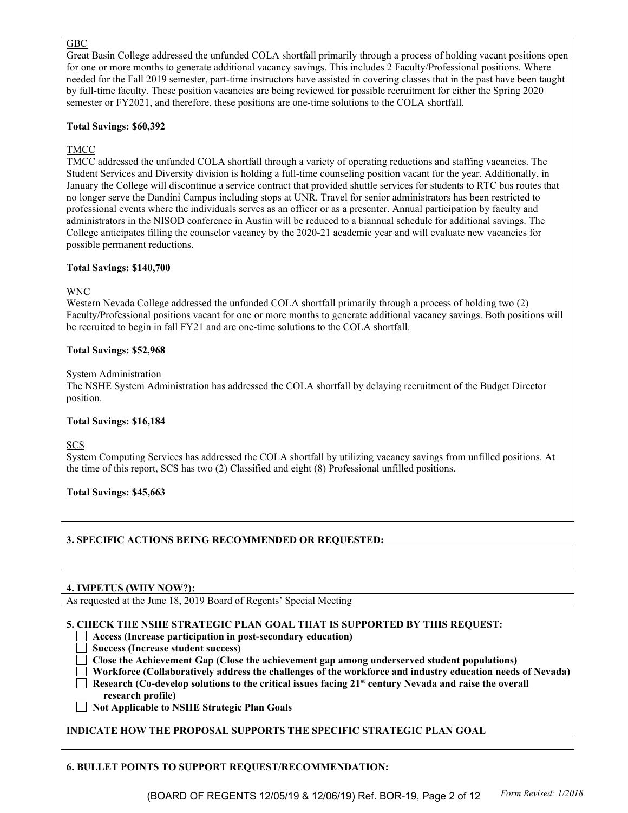### GBC

Great Basin College addressed the unfunded COLA shortfall primarily through a process of holding vacant positions open for one or more months to generate additional vacancy savings. This includes 2 Faculty/Professional positions. Where needed for the Fall 2019 semester, part-time instructors have assisted in covering classes that in the past have been taught by full-time faculty. These position vacancies are being reviewed for possible recruitment for either the Spring 2020 semester or FY2021, and therefore, these positions are one-time solutions to the COLA shortfall.

### **Total Savings: \$60,392**

## TMCC

TMCC addressed the unfunded COLA shortfall through a variety of operating reductions and staffing vacancies. The Student Services and Diversity division is holding a full-time counseling position vacant for the year. Additionally, in January the College will discontinue a service contract that provided shuttle services for students to RTC bus routes that no longer serve the Dandini Campus including stops at UNR. Travel for senior administrators has been restricted to professional events where the individuals serves as an officer or as a presenter. Annual participation by faculty and administrators in the NISOD conference in Austin will be reduced to a biannual schedule for additional savings. The College anticipates filling the counselor vacancy by the 2020-21 academic year and will evaluate new vacancies for possible permanent reductions.

### **Total Savings: \$140,700**

### WNC

Western Nevada College addressed the unfunded COLA shortfall primarily through a process of holding two (2) Faculty/Professional positions vacant for one or more months to generate additional vacancy savings. Both positions will be recruited to begin in fall FY21 and are one-time solutions to the COLA shortfall.

### **Total Savings: \$52,968**

### System Administration

The NSHE System Administration has addressed the COLA shortfall by delaying recruitment of the Budget Director position.

### **Total Savings: \$16,184**

**SCS** 

System Computing Services has addressed the COLA shortfall by utilizing vacancy savings from unfilled positions. At the time of this report, SCS has two (2) Classified and eight (8) Professional unfilled positions.

**Total Savings: \$45,663**

## **3. SPECIFIC ACTIONS BEING RECOMMENDED OR REQUESTED:**

### **4. IMPETUS (WHY NOW?):**

As requested at the June 18, 2019 Board of Regents' Special Meeting

### **5. CHECK THE NSHE STRATEGIC PLAN GOAL THAT IS SUPPORTED BY THIS REQUEST:**

- **Access (Increase participation in post-secondary education)**
- **Success (Increase student success)**
- **Close the Achievement Gap (Close the achievement gap among underserved student populations)**
- **Workforce (Collaboratively address the challenges of the workforce and industry education needs of Nevada)**
- **Research (Co-develop solutions to the critical issues facing 21st century Nevada and raise the overall research profile)**
- **Not Applicable to NSHE Strategic Plan Goals**

## **INDICATE HOW THE PROPOSAL SUPPORTS THE SPECIFIC STRATEGIC PLAN GOAL**

## **6. BULLET POINTS TO SUPPORT REQUEST/RECOMMENDATION:**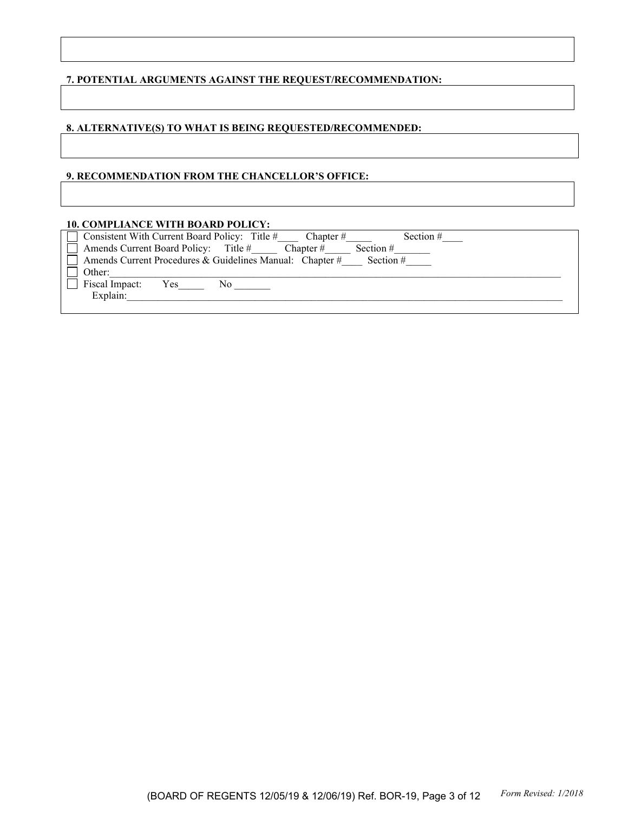### **7. POTENTIAL ARGUMENTS AGAINST THE REQUEST/RECOMMENDATION:**

### **8. ALTERNATIVE(S) TO WHAT IS BEING REQUESTED/RECOMMENDED:**

#### **9. RECOMMENDATION FROM THE CHANCELLOR'S OFFICE:**

#### **10. COMPLIANCE WITH BOARD POLICY:**

| $\Box$ Consistent With Current Board Policy: Title #<br>Section $#$<br>Chapter $#$ |  |
|------------------------------------------------------------------------------------|--|
| $\Box$ Amends Current Board Policy: Title #<br>Chapter $#$<br>Section $#$          |  |
| $\Box$ Amends Current Procedures & Guidelines Manual: Chapter #<br>Section $#$     |  |
| Other:                                                                             |  |
| Fiscal Impact:<br>Yes<br>No                                                        |  |
| Explain:                                                                           |  |
|                                                                                    |  |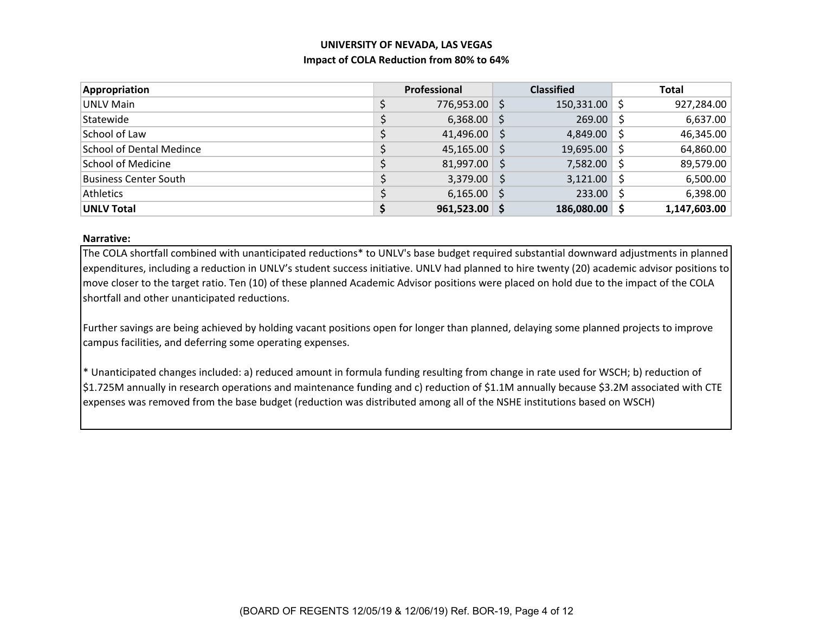# **UNIVERSITY OF NEVADA, LAS VEGAS Impact of COLA Reduction from 80% to 64%**

| <b>Appropriation</b>            | Professional |               |     | <b>Classified</b> |    | <b>Total</b> |
|---------------------------------|--------------|---------------|-----|-------------------|----|--------------|
| UNLV Main                       | \$           | 776,953.00 \$ |     | $150,331.00$ \$   |    | 927,284.00   |
| Statewide                       |              | $6,368.00$ \$ |     | 269.00            |    | 6,637.00     |
| School of Law                   |              | 41,496.00     | -\$ | $4,849.00$ \$     |    | 46,345.00    |
| <b>School of Dental Medince</b> |              | 45,165.00     | - S | $19,695.00$ \$    |    | 64,860.00    |
| <b>School of Medicine</b>       |              | 81,997.00     | -S  | 7,582.00          | -S | 89,579.00    |
| <b>Business Center South</b>    |              | 3,379.00      | -S  | 3,121.00          | S  | 6,500.00     |
| <b>Athletics</b>                |              | $6,165.00$ \$ |     | 233.00            |    | 6,398.00     |
| <b>UNLV Total</b>               |              | 961,523.00    |     | 186,080.00        |    | 1,147,603.00 |

#### **Narrative:**

The COLA shortfall combined with unanticipated reductions\* to UNLV's base budget required substantial downward adjustments in planned expenditures, including <sup>a</sup> reduction in UNLV's student success initiative. UNLV had planned to hire twenty (20) academic advisor positions to move closer to the target ratio. Ten (10) of these planned Academic Advisor positions were placed on hold due to the impact of the COLA shortfall and other unanticipated reductions.

Further savings are being achieved by holding vacant positions open for longer than planned, delaying some planned projects to improve campus facilities, and deferring some operating expenses.

\* Unanticipated changes included: a) reduced amount in formula funding resulting from change in rate used for WSCH; b) reduction of \$1.725M annually in research operations and maintenance funding and c) reduction of \$1.1M annually because \$3.2M associated with CTE expenses was removed from the base budget (reduction was distributed among all of the NSHE institutions based on WSCH)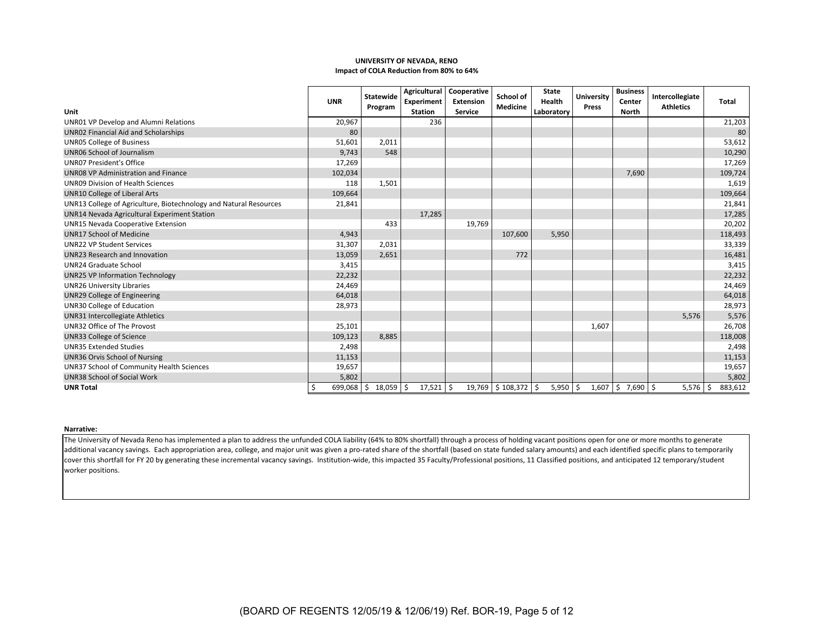#### **UNIVERSITY OF NEVADA, RENO Impact of COLA Reduction from 80% to 64%**

|                                                                   | <b>UNR</b>       | Statewide<br>Program | Agricultural<br>Experiment | Cooperative<br><b>Extension</b> | School of<br>Medicine   | <b>State</b><br>Health | <b>University</b><br>Press | <b>Business</b><br>Center | Intercollegiate<br><b>Athletics</b> | Total           |
|-------------------------------------------------------------------|------------------|----------------------|----------------------------|---------------------------------|-------------------------|------------------------|----------------------------|---------------------------|-------------------------------------|-----------------|
| Unit                                                              |                  |                      | <b>Station</b>             | Service                         |                         | Laboratory             |                            | North                     |                                     |                 |
| UNR01 VP Develop and Alumni Relations                             | 20,967           |                      | 236                        |                                 |                         |                        |                            |                           |                                     | 21,203          |
| UNR02 Financial Aid and Scholarships                              | 80               |                      |                            |                                 |                         |                        |                            |                           |                                     | 80              |
| <b>UNR05 College of Business</b>                                  | 51,601           | 2,011                |                            |                                 |                         |                        |                            |                           |                                     | 53,612          |
| <b>UNR06 School of Journalism</b>                                 | 9,743            | 548                  |                            |                                 |                         |                        |                            |                           |                                     | 10,290          |
| <b>UNR07 President's Office</b>                                   | 17,269           |                      |                            |                                 |                         |                        |                            |                           |                                     | 17,269          |
| <b>UNR08 VP Administration and Finance</b>                        | 102,034          |                      |                            |                                 |                         |                        |                            | 7,690                     |                                     | 109,724         |
| <b>UNR09 Division of Health Sciences</b>                          | 118              | 1,501                |                            |                                 |                         |                        |                            |                           |                                     | 1,619           |
| <b>UNR10 College of Liberal Arts</b>                              | 109,664          |                      |                            |                                 |                         |                        |                            |                           |                                     | 109,664         |
| UNR13 College of Agriculture, Biotechnology and Natural Resources | 21,841           |                      |                            |                                 |                         |                        |                            |                           |                                     | 21,841          |
| UNR14 Nevada Agricultural Experiment Station                      |                  |                      | 17,285                     |                                 |                         |                        |                            |                           |                                     | 17,285          |
| <b>UNR15 Nevada Cooperative Extension</b>                         |                  | 433                  |                            | 19,769                          |                         |                        |                            |                           |                                     | 20,202          |
| <b>UNR17 School of Medicine</b>                                   | 4,943            |                      |                            |                                 | 107,600                 | 5,950                  |                            |                           |                                     | 118,493         |
| <b>UNR22 VP Student Services</b>                                  | 31,307           | 2,031                |                            |                                 |                         |                        |                            |                           |                                     | 33,339          |
| <b>UNR23 Research and Innovation</b>                              | 13,059           | 2,651                |                            |                                 | 772                     |                        |                            |                           |                                     | 16,481          |
| <b>UNR24 Graduate School</b>                                      | 3,415            |                      |                            |                                 |                         |                        |                            |                           |                                     | 3,415           |
| <b>UNR25 VP Information Technology</b>                            | 22,232           |                      |                            |                                 |                         |                        |                            |                           |                                     | 22,232          |
| <b>UNR26 University Libraries</b>                                 | 24,469           |                      |                            |                                 |                         |                        |                            |                           |                                     | 24,469          |
| UNR29 College of Engineering                                      | 64,018           |                      |                            |                                 |                         |                        |                            |                           |                                     | 64,018          |
| UNR30 College of Education                                        | 28,973           |                      |                            |                                 |                         |                        |                            |                           |                                     | 28,973          |
| <b>UNR31 Intercollegiate Athletics</b>                            |                  |                      |                            |                                 |                         |                        |                            |                           | 5,576                               | 5,576           |
| UNR32 Office of The Provost                                       | 25,101           |                      |                            |                                 |                         |                        | 1,607                      |                           |                                     | 26,708          |
| <b>UNR33 College of Science</b>                                   | 109,123          | 8,885                |                            |                                 |                         |                        |                            |                           |                                     | 118,008         |
| <b>UNR35 Extended Studies</b>                                     | 2,498            |                      |                            |                                 |                         |                        |                            |                           |                                     | 2,498           |
| UNR36 Orvis School of Nursing                                     | 11,153           |                      |                            |                                 |                         |                        |                            |                           |                                     | 11,153          |
| UNR37 School of Community Health Sciences                         | 19,657           |                      |                            |                                 |                         |                        |                            |                           |                                     | 19,657          |
| <b>UNR38 School of Social Work</b>                                | 5.802            |                      |                            |                                 |                         |                        |                            |                           |                                     | 5,802           |
| <b>UNR Total</b>                                                  | 699,068 \$<br>\$ | 18,059 \$            | $17,521$ \$                |                                 | 19,769   \$108,372   \$ | $5,950$ \$             |                            | $1,607$ \$ 7,690 \$       | 5,576                               | 883,612<br>  \$ |

#### **Narrative:**

The University of Nevada Reno has implemented <sup>a</sup> plan to address the unfunded COLA liability (64% to 80% shortfall) through <sup>a</sup> process of holding vacant positions open for one or more months to generate additional vacancy savings. Each appropriation area, college, and major unit was given <sup>a</sup> pro‐rated share of the shortfall (based on state funded salary amounts) and each identified specific plans to temporarily cover this shortfall for FY 20 by generating these incremental vacancy savings. Institution‐wide, this impacted 35 Faculty/Professional positions, 11 Classified positions, and anticipated 12 temporary/student worker positions.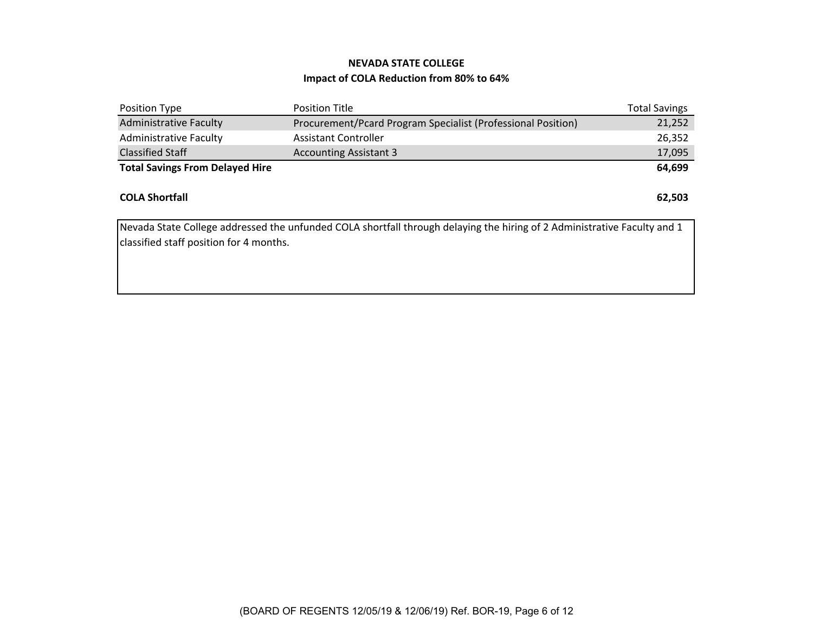# **Impact of COLA Reduction from 80% to 64% NEVADA STATE COLLEGE**

| Position Type                          | <b>Position Title</b>                                        | <b>Total Savings</b> |
|----------------------------------------|--------------------------------------------------------------|----------------------|
| <b>Administrative Faculty</b>          | Procurement/Pcard Program Specialist (Professional Position) | 21,252               |
| <b>Administrative Faculty</b>          | <b>Assistant Controller</b>                                  | 26,352               |
| <b>Classified Staff</b>                | <b>Accounting Assistant 3</b>                                | 17,095               |
| <b>Total Savings From Delayed Hire</b> |                                                              | 64,699               |
|                                        |                                                              |                      |
| <b>COLA Shortfall</b>                  |                                                              | 62,503               |
|                                        |                                                              |                      |

Nevada State College addressed the unfunded COLA shortfall through delaying the hiring of 2 Administrative Faculty and 1 classified staff position for 4 months.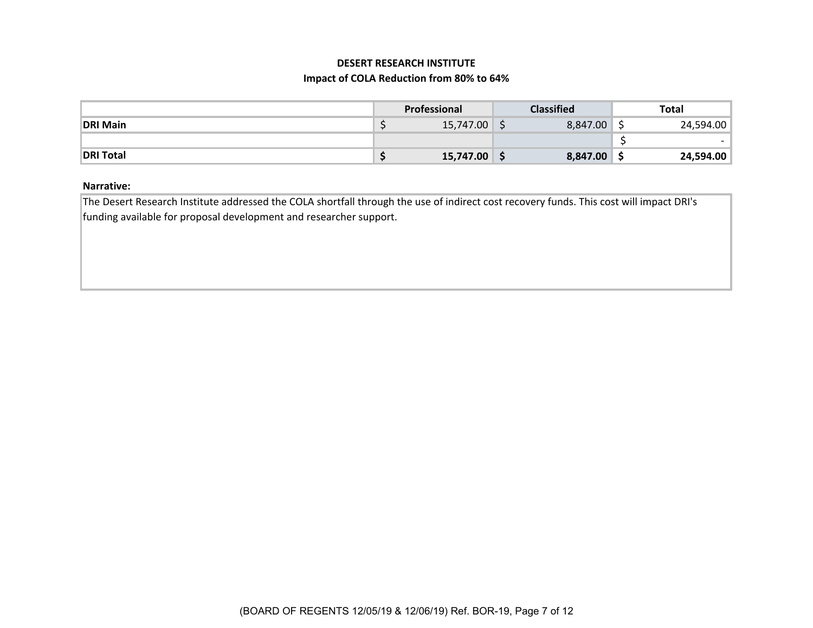## **DESERT RESEARCH INSTITUTE**

### **Impact of COLA Reduction from 80% to 64%**

|                  | Professional |           | <b>Classified</b> | Total                    |
|------------------|--------------|-----------|-------------------|--------------------------|
| <b>DRI Main</b>  |              | 15,747.00 | 8,847.00          | 24,594.00                |
|                  |              |           |                   | $\overline{\phantom{0}}$ |
| <b>DRI Total</b> |              | 15,747.00 | 8,847.00          | 24,594.00                |

### **Narrative:**

The Desert Research Institute addressed the COLA shortfall through the use of indirect cost recovery funds. This cost will impact DRI's funding available for proposal development and researcher support.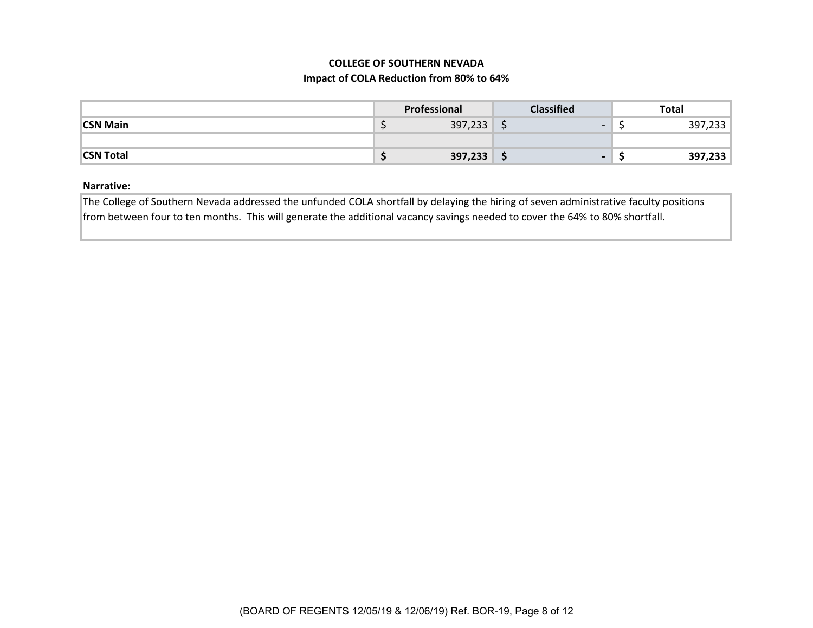### **COLLEGE OF SOUTHERN NEVADA**

### **Impact of COLA Reduction from 80% to 64%**

|                  | Professional | <b>Classified</b>             | <b>Total</b> |
|------------------|--------------|-------------------------------|--------------|
| <b>CSN Main</b>  | 397,233<br>- | $\overline{\phantom{0}}$<br>- | 397,233      |
|                  |              |                               |              |
| <b>CSN Total</b> | 397,233      | $\overline{\phantom{0}}$<br>ັ | 397,233      |

### **Narrative:**

The College of Southern Nevada addressed the unfunded COLA shortfall by delaying the hiring of seven administrative faculty positions from between four to ten months. This will generate the additional vacancy savings needed to cover the 64% to 80% shortfall.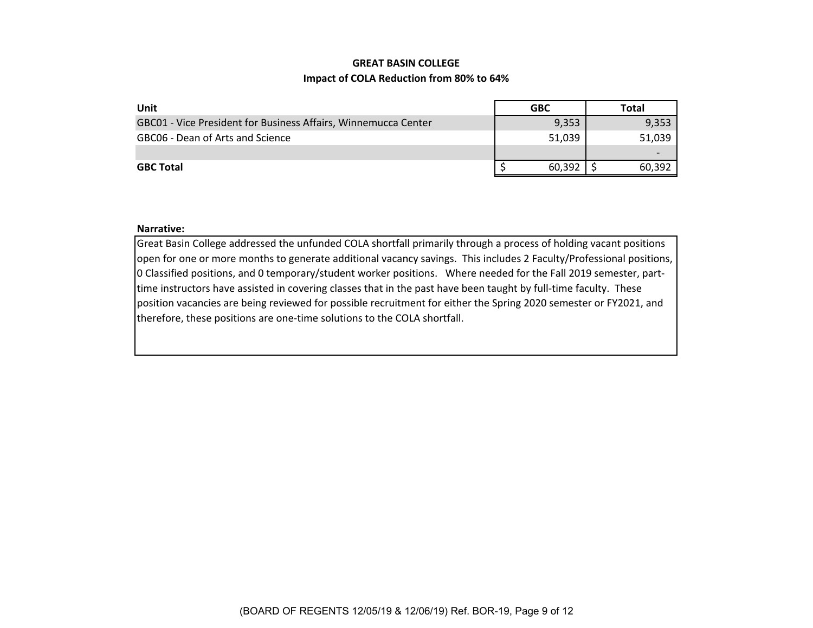### **GREAT BASIN COLLEGE**

### **Impact of COLA Reduction from 80% to 64%**

| Unit                                                           | <b>GBC</b> | Total  |
|----------------------------------------------------------------|------------|--------|
| GBC01 - Vice President for Business Affairs, Winnemucca Center | 9,353      | 9,353  |
| GBC06 - Dean of Arts and Science                               | 51,039     | 51,039 |
|                                                                |            |        |
| <b>GBC Total</b>                                               | 60.392     | 60.392 |

#### **Narrative:**

Great Basin College addressed the unfunded COLA shortfall primarily through <sup>a</sup> process of holding vacant positions open for one or more months to generate additional vacancy savings. This includes 2 Faculty/Professional positions, 0 Classified positions, and 0 temporary/student worker positions. Where needed for the Fall 2019 semester, part‐ time instructors have assisted in covering classes that in the past have been taught by full‐time faculty. These position vacancies are being reviewed for possible recruitment for either the Spring 2020 semester or FY2021, and therefore, these positions are one‐time solutions to the COLA shortfall.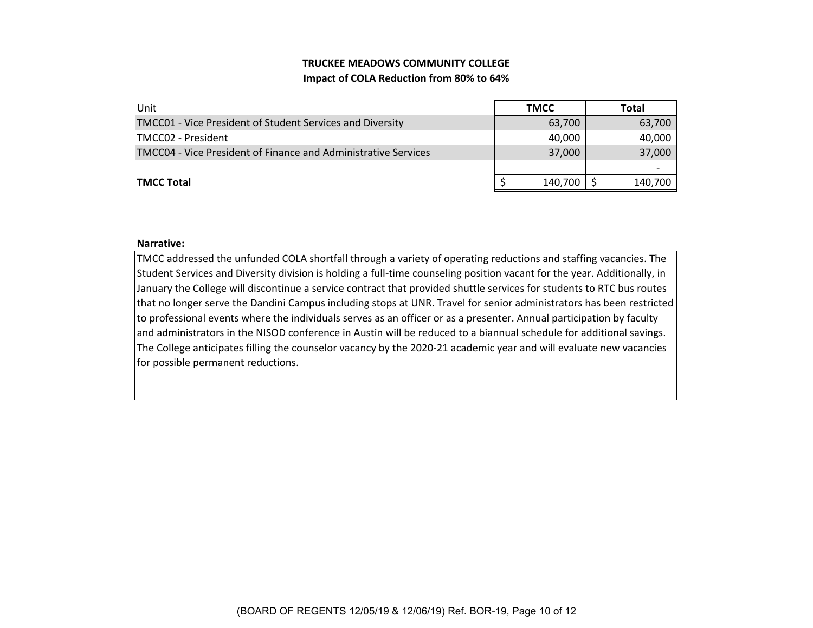# **TRUCKEE MEADOWS COMMUNITY COLLEGE Impact of COLA Reduction from 80% to 64%**

| Unit                                                                  | <b>TMCC</b> | Total   |
|-----------------------------------------------------------------------|-------------|---------|
| TMCC01 - Vice President of Student Services and Diversity             | 63,700      | 63,700  |
| TMCC02 - President                                                    | 40,000      | 40,000  |
| <b>TMCC04 - Vice President of Finance and Administrative Services</b> | 37,000      | 37,000  |
|                                                                       |             |         |
| <b>TMCC Total</b>                                                     | 140,700     | 140,700 |

#### **Narrative:**

TMCC addressed the unfunded COLA shortfall through <sup>a</sup> variety of operating reductions and staffing vacancies. The Student Services and Diversity division is holding <sup>a</sup> full‐time counseling position vacant for the year. Additionally, in January the College will discontinue <sup>a</sup> service contract that provided shuttle services for students to RTC bus routes that no longer serve the Dandini Campus including stops at UNR. Travel for senior administrators has been restricted to professional events where the individuals serves as an officer or as <sup>a</sup> presenter. Annual participation by faculty and administrators in the NISOD conference in Austin will be reduced to <sup>a</sup> biannual schedule for additional savings. The College anticipates filling the counselor vacancy by the 2020‐21 academic year and will evaluate new vacancies for possible permanent reductions.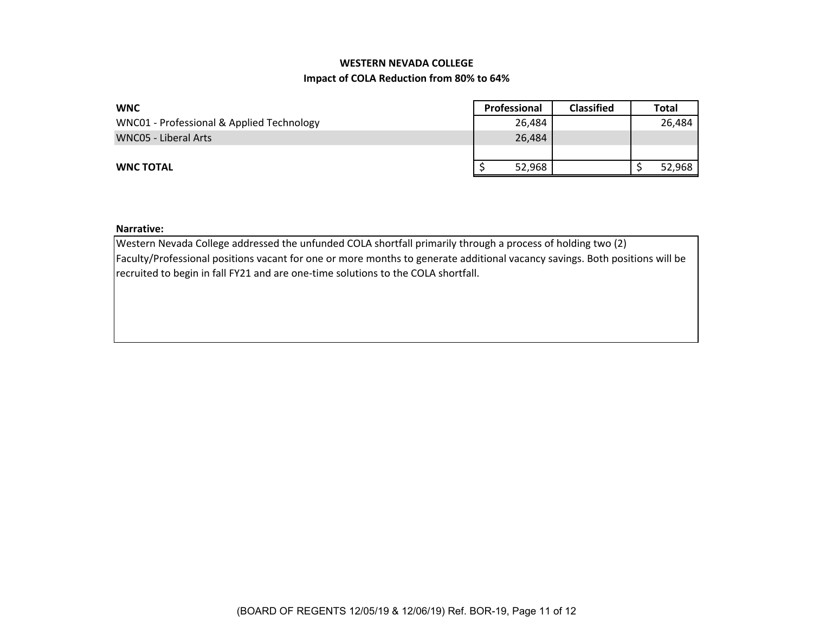# **WESTERN NEVADA COLLEGE**

### **Impact of COLA Reduction from 80% to 64%**

| <b>WNC</b>                                | Professional | <b>Classified</b> | <b>Total</b> |
|-------------------------------------------|--------------|-------------------|--------------|
| WNC01 - Professional & Applied Technology | 26,484       |                   | 26,484       |
| WNC05 - Liberal Arts                      | 26.484       |                   |              |
|                                           |              |                   |              |
| <b>WNC TOTAL</b>                          | 52,968       |                   | 52,968       |

#### **Narrative:**

Western Nevada College addressed the unfunded COLA shortfall primarily through <sup>a</sup> process of holding two (2) Faculty/Professional positions vacant for one or more months to generate additional vacancy savings. Both positions will be recruited to begin in fall FY21 and are one‐time solutions to the COLA shortfall.